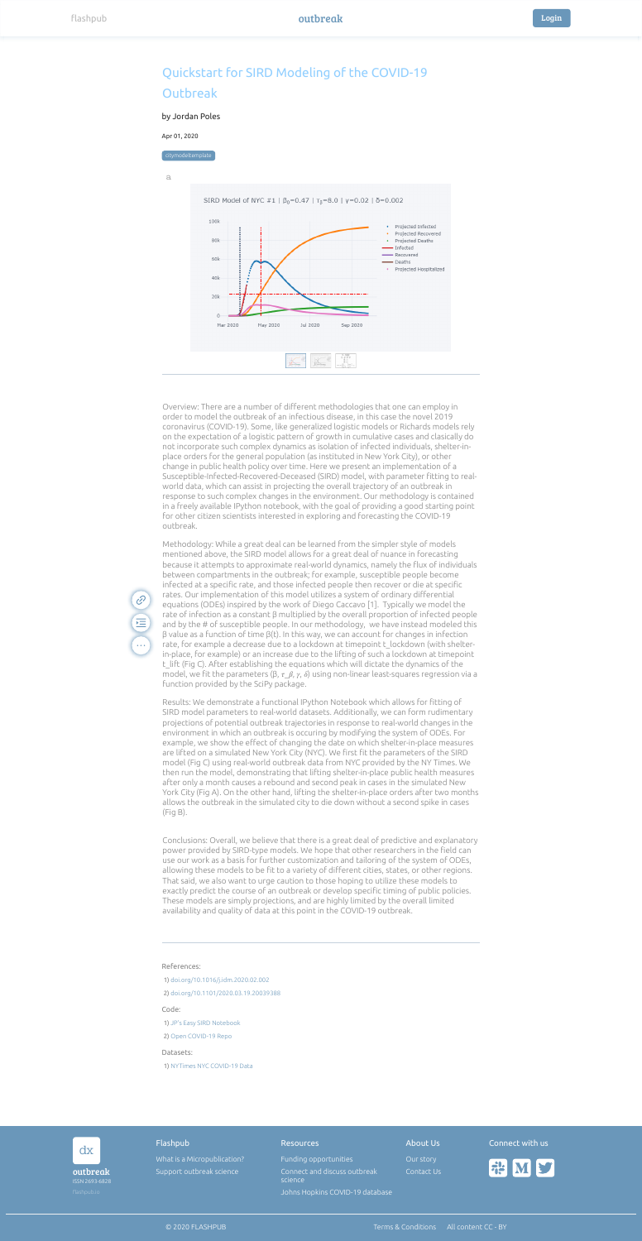| dx                         |  | Flashpub                    | <b>Resources</b>                        | About Us   | Connect with us   |
|----------------------------|--|-----------------------------|-----------------------------------------|------------|-------------------|
|                            |  | What is a Micropublication? | Funding opportunities                   | Our story  |                   |
| outbreak<br>ISSN 2693-6828 |  | Support outbreak science    | Connect and discuss outbreak<br>science | Contact Us | <b>FIELD NEWS</b> |
| flashpub.io                |  |                             | Johns Hopkins COVID-19 database         |            |                   |







References: Code: Datasets: 1) [doi.org/10.1016/j.idm.2020.02.002](https://doi.org/10.1016/j.idm.2020.02.002) 2) [doi.org/10.1101/2020.03.19.20039388](https://doi.org/10.1101/2020.03.19.20039388) 1) [JP's Easy SIRD Notebook](https://nbviewer.jupyter.org/github/jpoles1/open_covid19/blob/master/JP_Easy_SIRD.ipynb) 2) [Open COVID-19 Repo](https://github.com/jpoles1/open_covid19) 1) [NYTimes NYC COVID-19 Data](https://github.com/nytimes/covid-19-data)

 $\mathscr{C}$ 

运

 $\ddot{\bullet}$ 

Overview: There are a number of diferent methodologies that one can employ in

order to model the outbreak of an infectious disease, in this case the novel 2019 coronavirus (COVID-19). Some, like generalized logistic models or Richards models rely on the expectation of a logistic pattern of growth in cumulative cases and clasically do not incorporate such complex dynamics as isolation of infected individuals, shelter-inplace orders for the general population (as instituted in New York City), or other change in public health policy over time. Here we present an implementation of a Susceptible-Infected-Recovered-Deceased (SIRD) model, with parameter fitting to realworld data, which can assist in projecting the overall trajectory of an outbreak in response to such complex changes in the environment. Our methodology is contained in a freely available IPython notebook, with the goal of providing a good starting point for other citizen scientists interested in exploring and forecasting the COVID-19 outbreak.

Results: We demonstrate a functional IPython Notebook which allows for fitting of SIRD model parameters to real-world datasets. Additionally, we can form rudimentary projections of potential outbreak trajectories in response to real-world changes in the environment in which an outbreak is occuring by modifying the system of ODEs. For example, we show the effect of changing the date on which shelter-in-place measures are lifted on a simulated New York City (NYC). We first fit the parameters of the SIRD model (Fig C) using real-world outbreak data from NYC provided by the NY Times. We then run the model, demonstrating that lifting shelter-in-place public health measures after only a month causes a rebound and second peak in cases in the simulated New York City (Fig A). On the other hand, lifting the shelter-in-place orders after two months allows the outbreak in the simulated city to die down without a second spike in cases (Fig B).

Methodology: While a great deal can be learned from the simpler style of models mentioned above, the SIRD model allows for a great deal of nuance in forecasting because it attempts to approximate real-world dynamics, namely the fux of individuals between compartments in the outbreak; for example, susceptible people become infected at a specific rate, and those infected people then recover or die at specific rates. Our implementation of this model utilizes a system of ordinary diferential equations (ODEs) inspired by the work of Diego Caccavo [1]. Typically we model the rate of infection as a constant β multiplied by the overall proportion of infected people and by the # of susceptible people. In our methodology, we have instead modeled this β value as a function of time β(t). In this way, we can account for changes in infection rate, for example a decrease due to a lockdown at timepoint t\_lockdown (with shelterin-place, for example) or an increase due to the lifting of such a lockdown at timepoint t\_lift (Fig C). After establishing the equations which will dictate the dynamics of the model, we fit the parameters (β,  $\tau_\mu$ ,  $\beta$ ,  $\gamma$ ,  $\delta$ ) using non-linear least-squares regression via a function provided by the SciPy package.

Conclusions: Overall, we believe that there is a great deal of predictive and explanatory power provided by SIRD-type models. We hope that other researchers in the field can use our work as a basis for further customization and tailoring of the system of ODEs, allowing these models to be fit to a variety of different cities, states, or other regions. That said, we also want to urge caution to those hoping to utilize these models to exactly predict the course of an outbreak or develop specific timing of public policies. These models are simply projections, and are highly limited by the overall limited availability and quality of data at this point in the COVID-19 outbreak.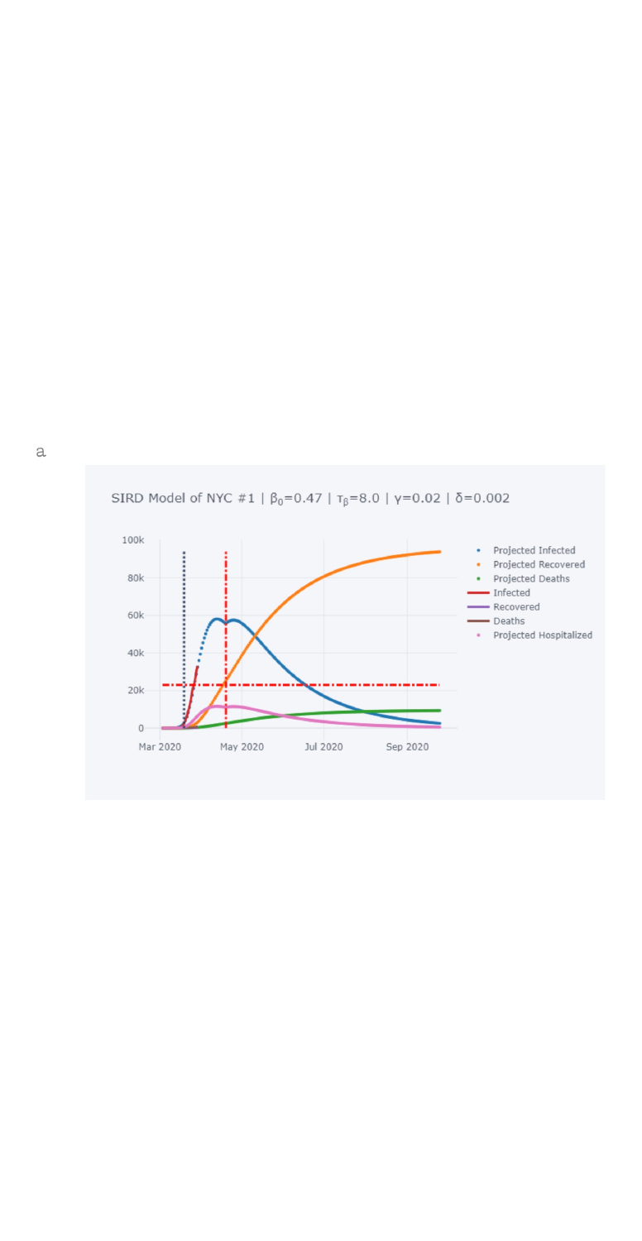

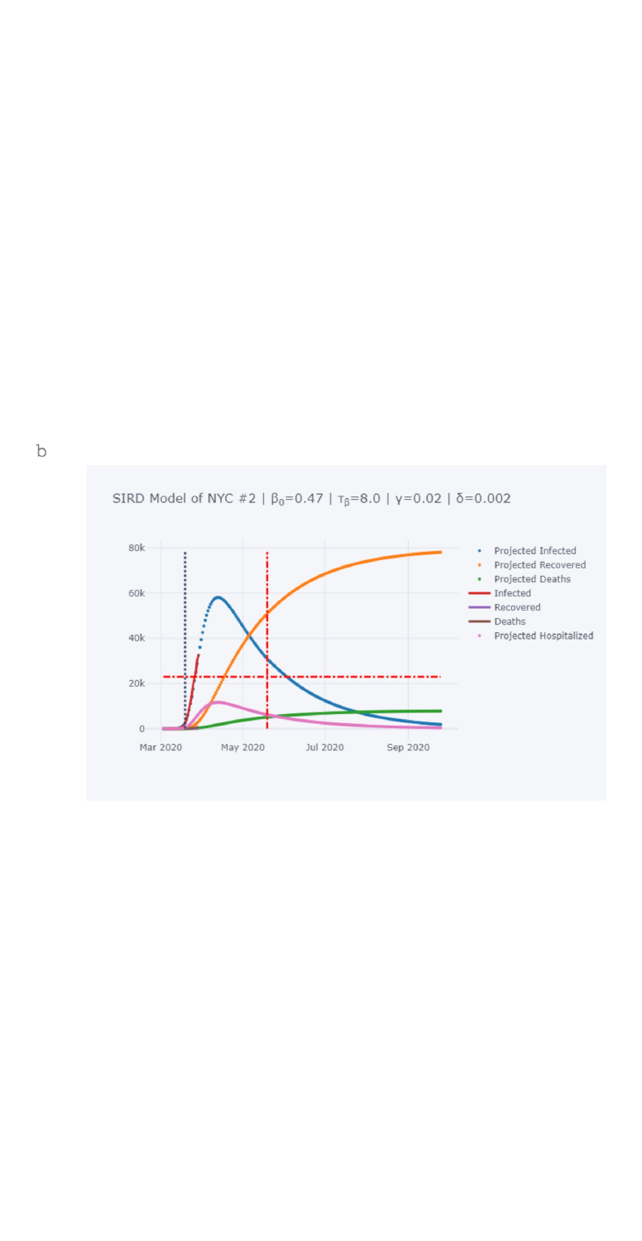## SIRD Model of NYC #2 | β<sub>0</sub>=0.47 | τ<sub>β</sub>=8.0 | γ=0.02 | δ=0.002